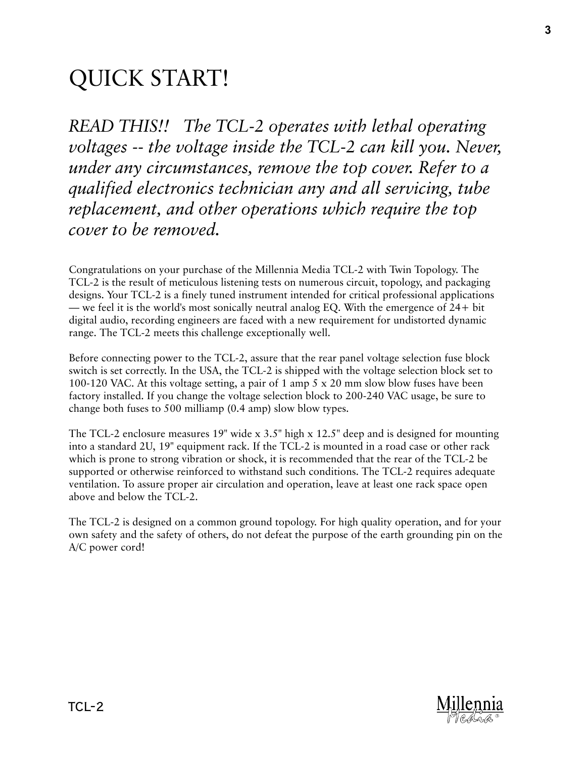# QUICK START!

*READ THIS!! The TCL-2 operates with lethal operating voltages -- the voltage inside the TCL-2 can kill you. Never, under any circumstances, remove the top cover. Refer to a qualified electronics technician any and all servicing, tube replacement, and other operations which require the top cover to be removed.*

Congratulations on your purchase of the Millennia Media TCL-2 with Twin Topology. The TCL-2 is the result of meticulous listening tests on numerous circuit, topology, and packaging designs. Your TCL-2 is a finely tuned instrument intended for critical professional applications — we feel it is the world's most sonically neutral analog EQ. With the emergence of 24+ bit digital audio, recording engineers are faced with a new requirement for undistorted dynamic range. The TCL-2 meets this challenge exceptionally well.

Before connecting power to the TCL-2, assure that the rear panel voltage selection fuse block switch is set correctly. In the USA, the TCL-2 is shipped with the voltage selection block set to 100-120 VAC. At this voltage setting, a pair of 1 amp 5 x 20 mm slow blow fuses have been factory installed. If you change the voltage selection block to 200-240 VAC usage, be sure to change both fuses to 500 milliamp (0.4 amp) slow blow types.

The TCL-2 enclosure measures 19" wide x 3.5" high x 12.5" deep and is designed for mounting into a standard 2U, 19" equipment rack. If the TCL-2 is mounted in a road case or other rack which is prone to strong vibration or shock, it is recommended that the rear of the TCL-2 be supported or otherwise reinforced to withstand such conditions. The TCL-2 requires adequate ventilation. To assure proper air circulation and operation, leave at least one rack space open above and below the TCL-2.

The TCL-2 is designed on a common ground topology. For high quality operation, and for your own safety and the safety of others, do not defeat the purpose of the earth grounding pin on the A/C power cord!

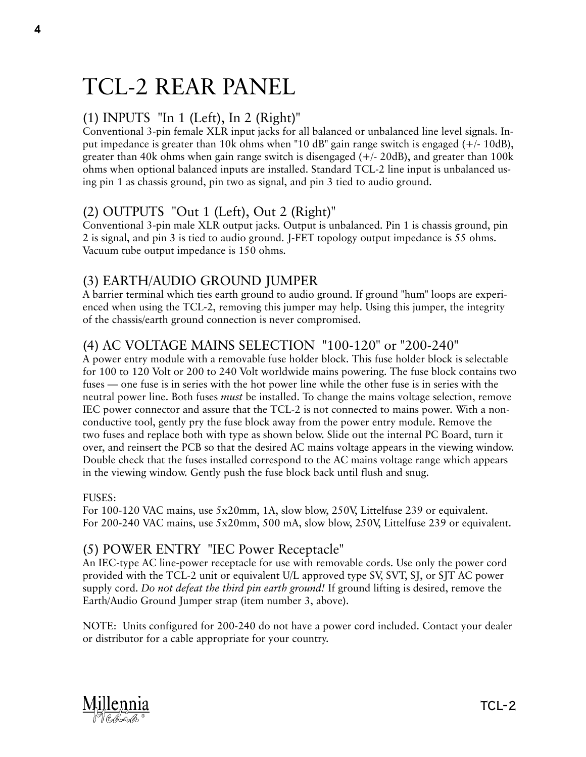# TCL-2 REAR PANEL

# (1) INPUTS "In 1 (Left), In 2 (Right)"

Conventional 3-pin female XLR input jacks for all balanced or unbalanced line level signals. Input impedance is greater than 10k ohms when "10 dB" gain range switch is engaged (+/- 10dB), greater than 40k ohms when gain range switch is disengaged (+/- 20dB), and greater than 100k ohms when optional balanced inputs are installed. Standard TCL-2 line input is unbalanced using pin 1 as chassis ground, pin two as signal, and pin 3 tied to audio ground.

# (2) OUTPUTS "Out 1 (Left), Out 2 (Right)"

Conventional 3-pin male XLR output jacks. Output is unbalanced. Pin 1 is chassis ground, pin 2 is signal, and pin 3 is tied to audio ground. J-FET topology output impedance is 55 ohms. Vacuum tube output impedance is 150 ohms.

# (3) EARTH/AUDIO GROUND JUMPER

A barrier terminal which ties earth ground to audio ground. If ground "hum" loops are experienced when using the TCL-2, removing this jumper may help. Using this jumper, the integrity of the chassis/earth ground connection is never compromised.

# (4) AC VOLTAGE MAINS SELECTION "100-120" or "200-240"

A power entry module with a removable fuse holder block. This fuse holder block is selectable for 100 to 120 Volt or 200 to 240 Volt worldwide mains powering. The fuse block contains two fuses — one fuse is in series with the hot power line while the other fuse is in series with the neutral power line. Both fuses *must* be installed. To change the mains voltage selection, remove IEC power connector and assure that the TCL-2 is not connected to mains power. With a nonconductive tool, gently pry the fuse block away from the power entry module. Remove the two fuses and replace both with type as shown below. Slide out the internal PC Board, turn it over, and reinsert the PCB so that the desired AC mains voltage appears in the viewing window. Double check that the fuses installed correspond to the AC mains voltage range which appears in the viewing window. Gently push the fuse block back until flush and snug.

## FUSES:

For 100-120 VAC mains, use 5x20mm, 1A, slow blow, 250V, Littelfuse 239 or equivalent. For 200-240 VAC mains, use 5x20mm, 500 mA, slow blow, 250V, Littelfuse 239 or equivalent.

# (5) POWER ENTRY "IEC Power Receptacle"

An IEC-type AC line-power receptacle for use with removable cords. Use only the power cord provided with the TCL-2 unit or equivalent U/L approved type SV, SVT, SJ, or SJT AC power supply cord. *Do not defeat the third pin earth ground!* If ground lifting is desired, remove the Earth/Audio Ground Jumper strap (item number 3, above).

NOTE: Units configured for 200-240 do not have a power cord included. Contact your dealer or distributor for a cable appropriate for your country.



4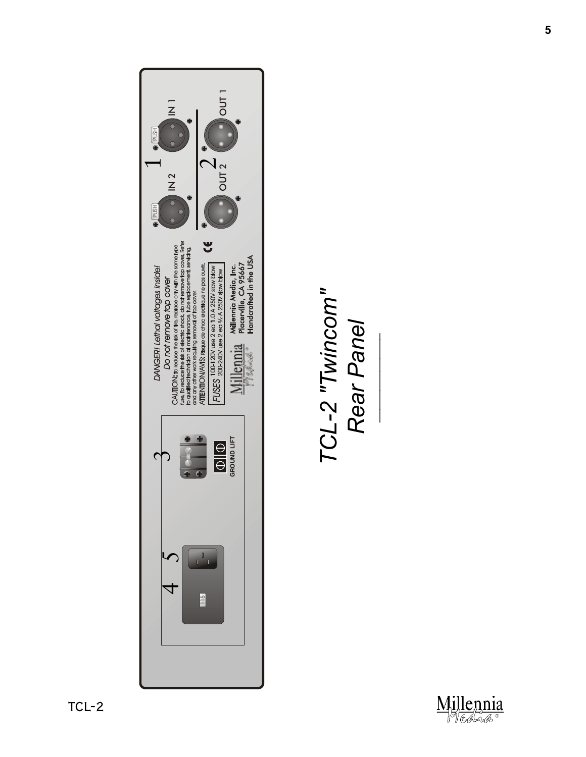

TCL-2 "Twincom"<br>Rear Panel *TCL-2 "Twincom" Rear Panel*

*\_\_\_\_\_\_\_\_\_\_\_\_\_\_*

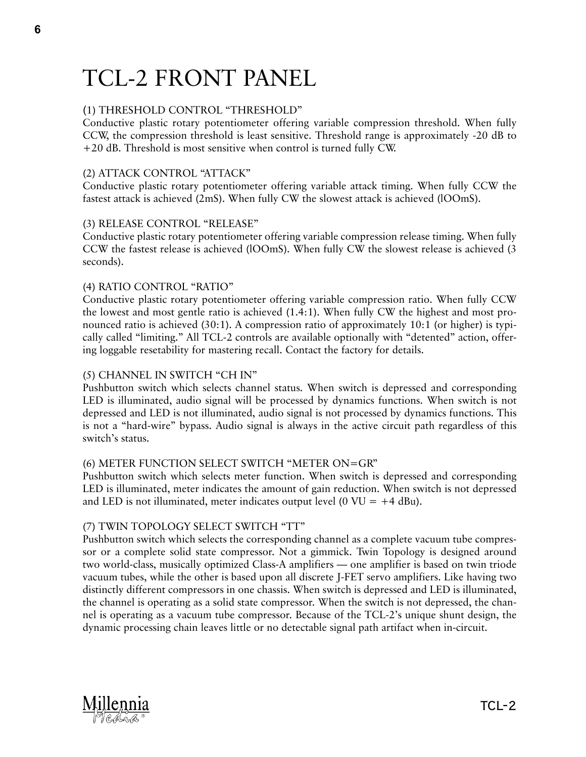# TCL-2 FRONT PANEL

# (1) THRESHOLD CONTROL "THRESHOLD"

Conductive plastic rotary potentiometer offering variable compression threshold. When fully CCW, the compression threshold is least sensitive. Threshold range is approximately -20 dB to +20 dB. Threshold is most sensitive when control is turned fully CW.

## (2) ATTACK CONTROL "ATTACK"

Conductive plastic rotary potentiometer offering variable attack timing. When fully CCW the fastest attack is achieved (2mS). When fully CW the slowest attack is achieved (lOOmS).

### (3) RELEASE CONTROL "RELEASE"

Conductive plastic rotary potentiometer offering variable compression release timing. When fully CCW the fastest release is achieved (lOOmS). When fully CW the slowest release is achieved (3 seconds).

### (4) RATIO CONTROL "RATIO"

Conductive plastic rotary potentiometer offering variable compression ratio. When fully CCW the lowest and most gentle ratio is achieved (1.4:1). When fully CW the highest and most pronounced ratio is achieved (30:1). A compression ratio of approximately 10:1 (or higher) is typically called "limiting." All TCL-2 controls are available optionally with "detented" action, offering loggable resetability for mastering recall. Contact the factory for details.

## (5) CHANNEL IN SWITCH "CH IN"

Pushbutton switch which selects channel status. When switch is depressed and corresponding LED is illuminated, audio signal will be processed by dynamics functions. When switch is not depressed and LED is not illuminated, audio signal is not processed by dynamics functions. This is not a "hard-wire" bypass. Audio signal is always in the active circuit path regardless of this switch's status.

#### (6) METER FUNCTION SELECT SWITCH "METER ON=GR"

Pushbutton switch which selects meter function. When switch is depressed and corresponding LED is illuminated, meter indicates the amount of gain reduction. When switch is not depressed and LED is not illuminated, meter indicates output level (0 VU =  $+4$  dBu).

#### (7) TWIN TOPOLOGY SELECT SWITCH "TT"

Pushbutton switch which selects the corresponding channel as a complete vacuum tube compressor or a complete solid state compressor. Not a gimmick. Twin Topology is designed around two world-class, musically optimized Class-A amplifiers — one amplifier is based on twin triode vacuum tubes, while the other is based upon all discrete J-FET servo amplifiers. Like having two distinctly different compressors in one chassis. When switch is depressed and LED is illuminated, the channel is operating as a solid state compressor. When the switch is not depressed, the channel is operating as a vacuum tube compressor. Because of the TCL-2's unique shunt design, the dynamic processing chain leaves little or no detectable signal path artifact when in-circuit.



6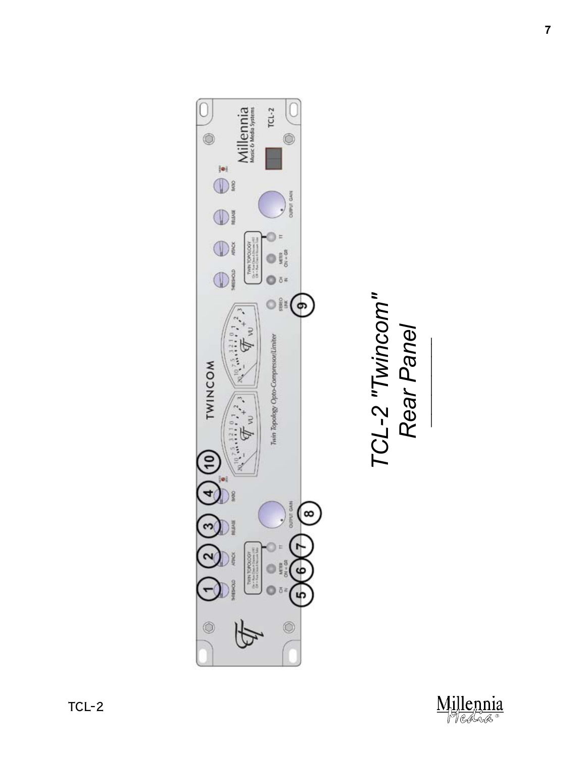

TCL-2 "Twincom"<br>Rear Panel *TCL-2 "Twincom" Rear Panel*

*\_\_\_\_\_\_\_\_\_\_\_\_\_\_*

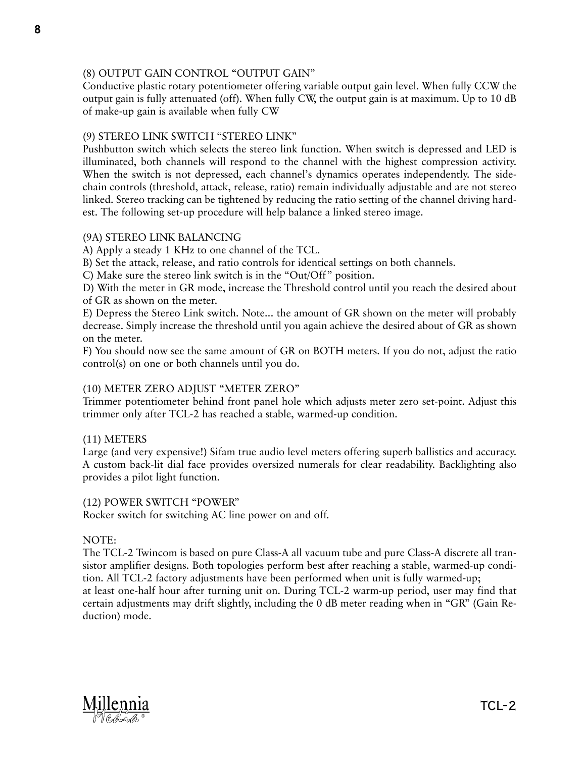### (8) OUTPUT GAIN CONTROL "OUTPUT GAIN"

Conductive plastic rotary potentiometer offering variable output gain level. When fully CCW the output gain is fully attenuated (off). When fully CW, the output gain is at maximum. Up to 10 dB of make-up gain is available when fully CW

### (9) STEREO LINK SWITCH "STEREO LINK"

Pushbutton switch which selects the stereo link function. When switch is depressed and LED is illuminated, both channels will respond to the channel with the highest compression activity. When the switch is not depressed, each channel's dynamics operates independently. The sidechain controls (threshold, attack, release, ratio) remain individually adjustable and are not stereo linked. Stereo tracking can be tightened by reducing the ratio setting of the channel driving hardest. The following set-up procedure will help balance a linked stereo image.

#### (9A) STEREO LINK BALANCING

A) Apply a steady 1 KHz to one channel of the TCL.

B) Set the attack, release, and ratio controls for identical settings on both channels.

C) Make sure the stereo link switch is in the "Out/Off" position.

D) With the meter in GR mode, increase the Threshold control until you reach the desired about of GR as shown on the meter.

E) Depress the Stereo Link switch. Note... the amount of GR shown on the meter will probably decrease. Simply increase the threshold until you again achieve the desired about of GR as shown on the meter.

F) You should now see the same amount of GR on BOTH meters. If you do not, adjust the ratio control(s) on one or both channels until you do.

## (10) METER ZERO ADJUST "METER ZERO"

Trimmer potentiometer behind front panel hole which adjusts meter zero set-point. Adjust this trimmer only after TCL-2 has reached a stable, warmed-up condition.

#### (11) METERS

Large (and very expensive!) Sifam true audio level meters offering superb ballistics and accuracy. A custom back-lit dial face provides oversized numerals for clear readability. Backlighting also provides a pilot light function.

#### (12) POWER SWITCH "POWER"

Rocker switch for switching AC line power on and off.

#### NOTE:

The TCL-2 Twincom is based on pure Class-A all vacuum tube and pure Class-A discrete all transistor amplifier designs. Both topologies perform best after reaching a stable, warmed-up condition. All TCL-2 factory adjustments have been performed when unit is fully warmed-up; at least one-half hour after turning unit on. During TCL-2 warm-up period, user may find that certain adjustments may drift slightly, including the 0 dB meter reading when in "GR" (Gain Reduction) mode.



8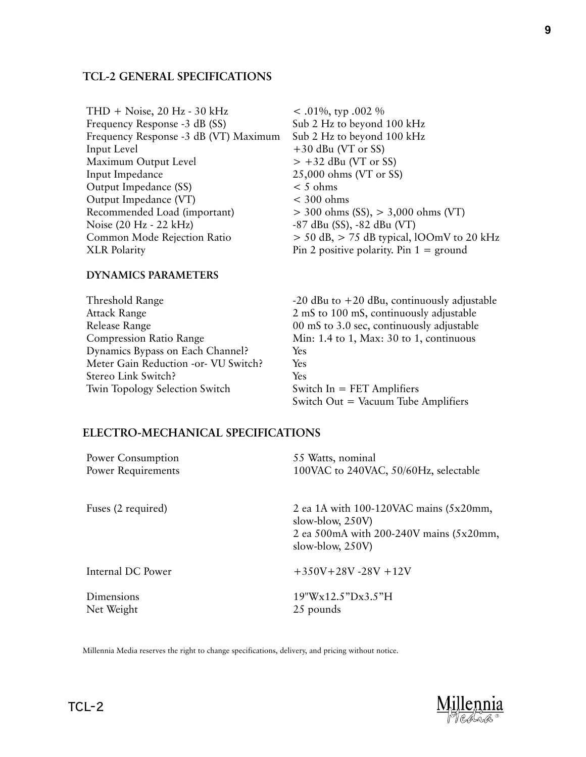#### **TCL-2 GENERAL SPECIFICATIONS**

THD + Noise, 20 Hz - 30 kHz Frequency Response -3 dB (SS) Frequency Response -3 dB (VT) Maximum Input Level Maximum Output Level Input Impedance Output Impedance (SS) Output Impedance (VT) Recommended Load (important) Noise (20 Hz - 22 kHz) Common Mode Rejection Ratio XLR Polarity

 $< .01\%$ , typ .002 % Sub 2 Hz to beyond 100 kHz Sub 2 Hz to beyond 100 kHz +30 dBu (VT or SS)  $> +32$  dBu (VT or SS) 25,000 ohms (VT or SS)  $<$  5 ohms  $<$  300 ohms > 300 ohms (SS), > 3,000 ohms (VT) -87 dBu (SS), -82 dBu (VT)  $>$  50 dB,  $>$  75 dB typical, lOOmV to 20 kHz Pin 2 positive polarity. Pin  $1 =$  ground

#### **DYNAMICS PARAMETERS**

Threshold Range Attack Range Release Range Compression Ratio Range Dynamics Bypass on Each Channel? Meter Gain Reduction -or- VU Switch? Stereo Link Switch? Twin Topology Selection Switch

 $-20$  dBu to  $+20$  dBu, continuously adjustable 2 mS to 100 mS, continuously adjustable 00 mS to 3.0 sec, continuously adjustable Min: 1.4 to 1, Max: 30 to 1, continuous Yes Yes Yes Switch In = FET Amplifiers Switch Out  $=$  Vacuum Tube Amplifiers

#### **ELECTRO-MECHANICAL SPECIFICATIONS**

| Power Consumption<br>Power Requirements | 55 Watts, nominal<br>100VAC to 240VAC, 50/60Hz, selectable |
|-----------------------------------------|------------------------------------------------------------|
|                                         |                                                            |
| Internal DC Power                       | $+350V+28V-28V+12V$                                        |
| Dimensions<br>Net Weight                | 19"Wx12.5"Dx3.5"H<br>25 pounds                             |

Millennia Media reserves the right to change specifications, delivery, and pricing without notice.

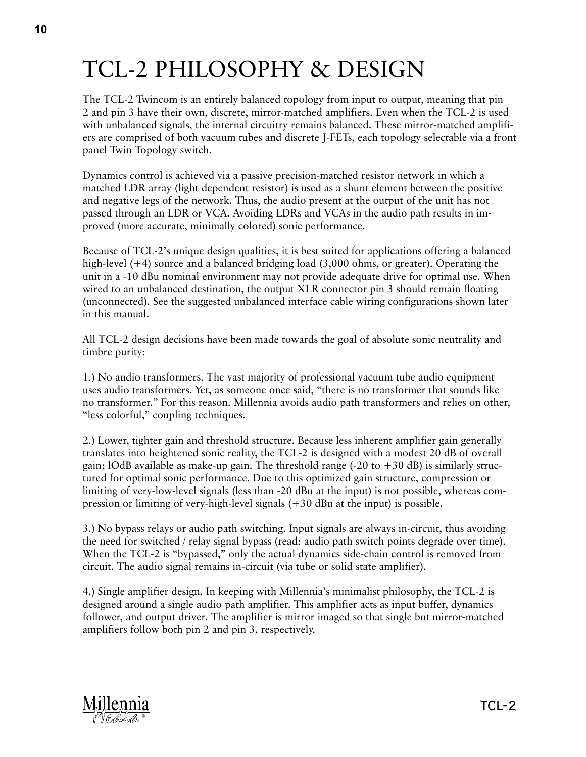# TCL-2 PHILOSOPHY & DESIGN

The TCL-2 Twincom is an entirely balanced topology from input to output, meaning that pin 2 and pin 3 have their own, discrete, mirror-matched amplifiers. Even when the TCL-2 is used with unbalanced signals, the internal circuitry remains balanced. These mirror-matched amplifiers are comprised of both vacuum tubes and discrete J-FETs, each topology selectable via a front panel Twin Topology switch.

Dynamics control is achieved via a passive precision-matched resistor network in which a matched LDR array (light dependent resistor) is used as a shunt element between the positive and negative legs of the network. Thus, the audio present at the output of the unit has not passed through an LDR or VCA. Avoiding LDRs and VCAs in the audio path results in improved (more accurate, minimally colored) sonic performance.

Because of TCL-2's unique design qualities, it is best suited for applications offering a balanced high-level (+4) source and a balanced bridging load (3,000 ohms, or greater). Operating the unit in a -10 dBu nominal environment may not provide adequate drive for optimal use. When wired to an unbalanced destination, the output XLR connector pin 3 should remain floating (unconnected). See the suggested unbalanced interface cable wiring configurations shown later in this manual.

All TCL-2 design decisions have been made towards the goal of absolute sonic neutrality and timbre purity:

1.) No audio transformers. The vast majority of professional vacuum tube audio equipment uses audio transformers. Yet, as someone once said, "there is no transformer that sounds like no transformer." For this reason. Millennia avoids audio path transformers and relies on other, "less colorful," coupling techniques.

2.) Lower, tighter gain and threshold structure. Because less inherent amplifier gain generally translates into heightened sonic reality, the TCL-2 is designed with a modest 20 dB of overall gain; lOdB available as make-up gain. The threshold range  $(-20 \text{ to } +30 \text{ dB})$  is similarly structured for optimal sonic performance. Due to this optimized gain structure, compression or limiting of very-low-level signals (less than -20 dBu at the input) is not possible, whereas compression or limiting of very-high-level signals (+30 dBu at the input) is possible.

3.) No bypass relays or audio path switching. Input signals are always in-circuit, thus avoiding the need for switched / relay signal bypass (read: audio path switch points degrade over time). When the TCL-2 is "bypassed," only the actual dynamics side-chain control is removed from circuit. The audio signal remains in-circuit (via tube or solid state amplifier).

4.) Single amplifier design. In keeping with Millennia's minimalist philosophy, the TCL-2 is designed around a single audio path amplifier. This amplifier acts as input buffer, dynamics follower, and output driver. The amplifier is mirror imaged so that single but mirror-matched amplifiers follow both pin 2 and pin 3, respectively.

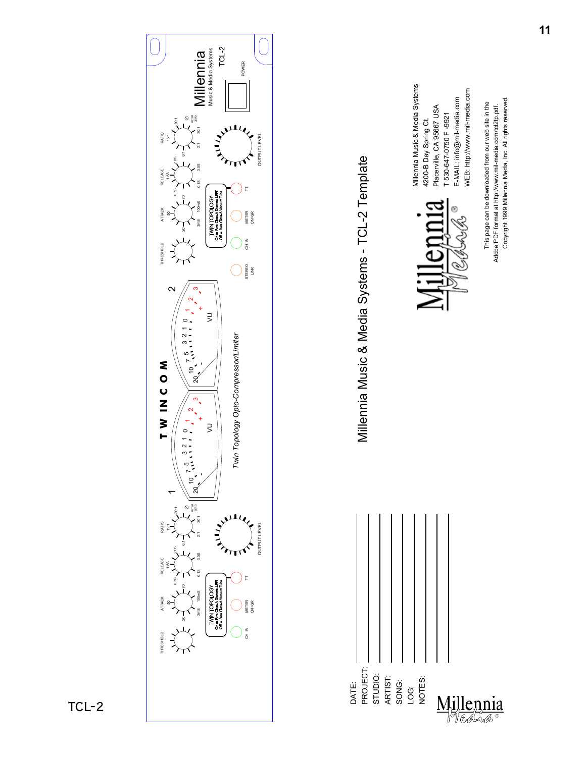

Copyright 1999 Millennia Media, 63& All rights reserved. Copyright 1999 Millennia Media, 63& All rights reserved.